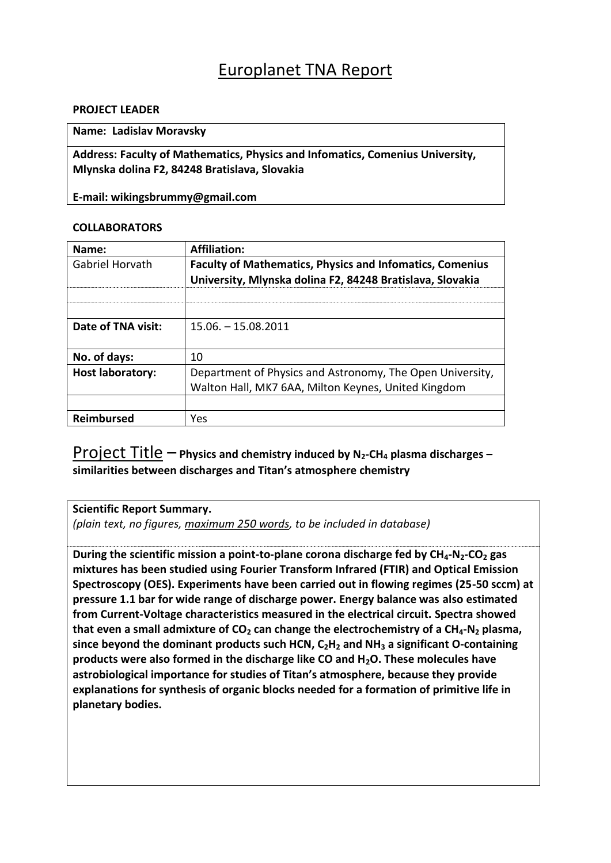# Europlanet TNA Report

## **PROJECT LEADER**

## **Name: Ladislav Moravsky**

**Address: Faculty of Mathematics, Physics and Infomatics, Comenius University, Mlynska dolina F2, 84248 Bratislava, Slovakia**

**E-mail: wikingsbrummy@gmail.com**

#### **COLLABORATORS**

| Name:                   | <b>Affiliation:</b>                                                                                                          |
|-------------------------|------------------------------------------------------------------------------------------------------------------------------|
| Gabriel Horvath         | <b>Faculty of Mathematics, Physics and Infomatics, Comenius</b><br>University, Mlynska dolina F2, 84248 Bratislava, Slovakia |
|                         |                                                                                                                              |
|                         |                                                                                                                              |
| Date of TNA visit:      | $15.06. - 15.08.2011$                                                                                                        |
|                         |                                                                                                                              |
| No. of days:            | 10                                                                                                                           |
| <b>Host laboratory:</b> | Department of Physics and Astronomy, The Open University,                                                                    |
|                         | Walton Hall, MK7 6AA, Milton Keynes, United Kingdom                                                                          |
|                         |                                                                                                                              |
| <b>Reimbursed</b>       | Yes                                                                                                                          |

# Project Title – **Physics and chemistry induced by N2-CH<sup>4</sup> plasma discharges – similarities between discharges and Titan's atmosphere chemistry**

#### **Scientific Report Summary.**

*(plain text, no figures, maximum 250 words, to be included in database)*

**During the scientific mission a point-to-plane corona discharge fed by CH4-N2-CO<sup>2</sup> gas mixtures has been studied using Fourier Transform Infrared (FTIR) and Optical Emission Spectroscopy (OES). Experiments have been carried out in flowing regimes (25-50 sccm) at pressure 1.1 bar for wide range of discharge power. Energy balance was also estimated from Current-Voltage characteristics measured in the electrical circuit. Spectra showed that even a small admixture of CO<sup>2</sup> can change the electrochemistry of a CH4-N<sup>2</sup> plasma, since beyond the dominant products such HCN, C2H<sup>2</sup> and NH<sup>3</sup> a significant O-containing products were also formed in the discharge like CO and H2O. These molecules have astrobiological importance for studies of Titan's atmosphere, because they provide explanations for synthesis of organic blocks needed for a formation of primitive life in planetary bodies.**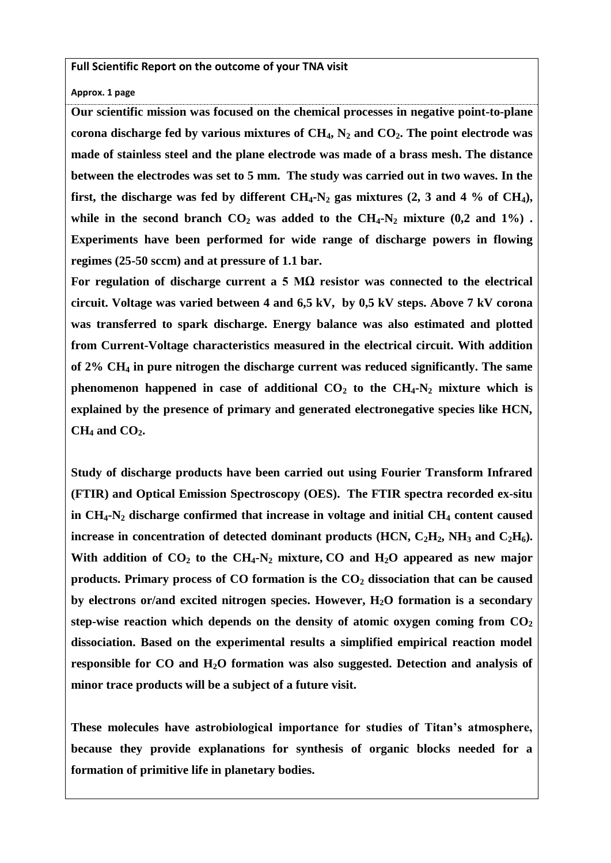**Full Scientific Report on the outcome of your TNA visit**

**Approx. 1 page**

**Our scientific mission was focused on the chemical processes in negative point-to-plane corona discharge fed by various mixtures of CH4, N<sup>2</sup> and CO2. The point electrode was made of stainless steel and the plane electrode was made of a brass mesh. The distance between the electrodes was set to 5 mm. The study was carried out in two waves. In the first, the discharge was fed by different CH4-N<sup>2</sup> gas mixtures (2, 3 and 4 % of CH4),**  while in the second branch  $CO_2$  was added to the  $CH_4$ **-N**<sub>2</sub> mixture (0,2 and 1%). **Experiments have been performed for wide range of discharge powers in flowing regimes (25-50 sccm) and at pressure of 1.1 bar.** 

**For regulation of discharge current a 5 MΩ resistor was connected to the electrical circuit. Voltage was varied between 4 and 6,5 kV, by 0,5 kV steps. Above 7 kV corona was transferred to spark discharge. Energy balance was also estimated and plotted from Current-Voltage characteristics measured in the electrical circuit. With addition of 2% CH<sup>4</sup> in pure nitrogen the discharge current was reduced significantly. The same phenomenon** happened in case of additional  $CO_2$  to the  $CH_4$ -N<sub>2</sub> mixture which is **explained by the presence of primary and generated electronegative species like HCN, CH<sup>4</sup> and CO2.**

**Study of discharge products have been carried out using Fourier Transform Infrared (FTIR) and Optical Emission Spectroscopy (OES). The FTIR spectra recorded ex-situ in CH4-N<sup>2</sup> discharge confirmed that increase in voltage and initial CH<sup>4</sup> content caused increase in concentration of detected dominant products (HCN,**  $C_2H_2$ **, NH<sub>3</sub> and**  $C_2H_6$ **).** With addition of  $CO_2$  to the  $CH_4$ -N<sub>2</sub> mixture, CO and  $H_2O$  appeared as new major **products. Primary process of CO formation is the CO<sup>2</sup> dissociation that can be caused by electrons or/and excited nitrogen species. However, H2O formation is a secondary step-wise reaction which depends on the density of atomic oxygen coming from CO<sup>2</sup> dissociation. Based on the experimental results a simplified empirical reaction model responsible for CO and H2O formation was also suggested. Detection and analysis of minor trace products will be a subject of a future visit.**

**These molecules have astrobiological importance for studies of Titan's atmosphere, because they provide explanations for synthesis of organic blocks needed for a formation of primitive life in planetary bodies.**